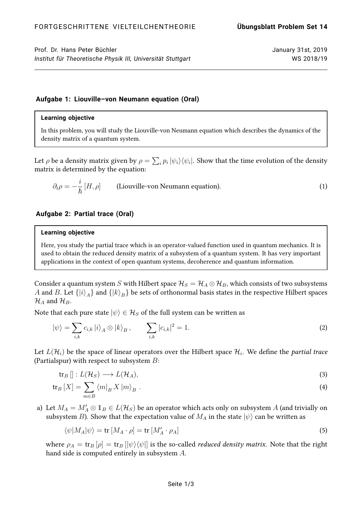Prof. Dr. Hans Peter Büchler January 31st, 2019 *Institut für Theoretische Physik III, Universität Stuttgart* WS 2018/19

# **Aufgabe 1: Liouville–von Neumann equation (Oral)**

## **Learning objective**

In this problem, you will study the Liouville-von Neumann equation which describes the dynamics of the density matrix of a quantum system.

Let  $\rho$  be a density matrix given by  $\rho=\sum_i p_i\ket{\psi_i}\!\bra{\psi_i}.$  Show that the time evolution of the density matrix is determined by the equation:

$$
\partial_t \rho = -\frac{i}{\hbar} [H, \rho] \qquad \text{(Liouville-von Neumann equation)}.
$$

## **Aufgabe 2: Partial trace (Oral)**

#### **Learning objective**

Here, you study the partial trace which is an operator-valued function used in quantum mechanics. It is used to obtain the reduced density matrix of a subsystem of a quantum system. It has very important applications in the context of open quantum systems, decoherence and quantum information.

Consider a quantum system S with Hilbert space  $\mathcal{H}_S = \mathcal{H}_A \otimes \mathcal{H}_B$ , which consists of two subsystems  $A$  and  $B.$  Let  $\{\ket{i}_A\}$  and  $\{\ket{k}_B\}$  be sets of orthonormal basis states in the respective Hilbert spaces  $\mathcal{H}_A$  and  $\mathcal{H}_B$ .

Note that each pure state  $|\psi\rangle \in \mathcal{H}_S$  of the full system can be written as

$$
|\psi\rangle = \sum_{i,k} c_{i,k} |i\rangle_A \otimes |k\rangle_B, \qquad \sum_{i,k} |c_{i,k}|^2 = 1.
$$
 (2)

Let  $L(\mathcal{H}_i)$  be the space of linear operators over the Hilbert space  $\mathcal{H}_i.$  We define the *partial trace* (Partialspur) with respect to subsystem  $B$ :

$$
\operatorname{tr}_B[]: L(\mathcal{H}_S) \longrightarrow L(\mathcal{H}_A),\tag{3}
$$

$$
\operatorname{tr}_{B}[X] = \sum_{m \in B} \left\langle m \right|_{B} X \left| m \right\rangle_{B} \,. \tag{4}
$$

a) Let  $M_A = M'_A \otimes 1_B \in L(\mathcal{H}_S)$  be an operator which acts only on subsystem  $A$  (and trivially on subsystem B). Show that the expectation value of  $M_A$  in the state  $|\psi\rangle$  can be written as

$$
\langle \psi | M_A | \psi \rangle = \text{tr} \left[ M_A \cdot \rho \right] = \text{tr} \left[ M_A' \cdot \rho_A \right] \tag{5}
$$

where  $\rho_A = \text{tr}_B [\rho] = \text{tr}_B [\psi \rangle \langle \psi]$  is the so-called *reduced density matrix*. Note that the right hand side is computed entirely in subsystem A.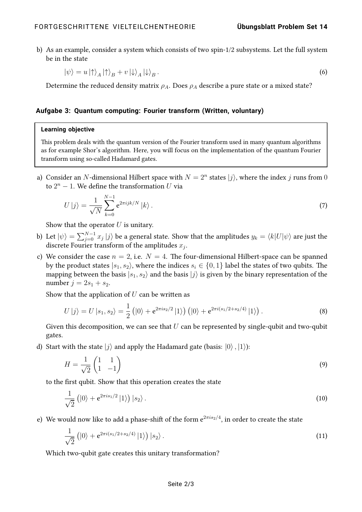b) As an example, consider a system which consists of two spin-1/2 subsystems. Let the full system be in the state

$$
|\psi\rangle = u |\!\uparrow\rangle_A |\!\uparrow\rangle_B + v |\!\downarrow\rangle_A |\!\downarrow\rangle_B.
$$
 (6)

Determine the reduced density matrix  $\rho_A$ . Does  $\rho_A$  describe a pure state or a mixed state?

## **Aufgabe 3: Quantum computing: Fourier transform (Written, voluntary)**

## **Learning objective**

This problem deals with the quantum version of the Fourier transform used in many quantum algorithms as for example Shor's algorithm. Here, you will focus on the implementation of the quantum Fourier transform using so-called Hadamard gates.

a) Consider an N-dimensional Hilbert space with  $N = 2<sup>n</sup>$  states  $|j\rangle$ , where the index j runs from 0 to  $2^n - 1$ . We define the transformation U via

$$
U|j\rangle = \frac{1}{\sqrt{N}} \sum_{k=0}^{N-1} e^{2\pi i j k/N} |k\rangle.
$$
 (7)

Show that the operator  $U$  is unitary.

- b) Let  $|\psi\rangle=\sum_{j=0}^{N-1}x_j\ket{j}$  be a general state. Show that the amplitudes  $y_k=\langle k|U|\psi\rangle$  are just the discrete Fourier transform of the amplitudes  $x_j$ .
- c) We consider the case  $n = 2$ , i.e.  $N = 4$ . The four-dimensional Hilbert-space can be spanned by the product states  $|s_1, s_2\rangle$ , where the indices  $s_i \in \{0, 1\}$  label the states of two qubits. The mapping between the basis  $|s_1, s_2\rangle$  and the basis  $|j\rangle$  is given by the binary representation of the number  $j = 2s_1 + s_2$ .

Show that the application of  $U$  can be written as

$$
U |j\rangle = U |s_1, s_2\rangle = \frac{1}{2} (|0\rangle + e^{2\pi i s_2/2} |1\rangle) (|0\rangle + e^{2\pi i (s_1/2 + s_2/4)} |1\rangle).
$$
 (8)

Given this decomposition, we can see that  $U$  can be represented by single-qubit and two-qubit gates.

d) Start with the state  $|i\rangle$  and apply the Hadamard gate (basis:  $|0\rangle$ ,  $|1\rangle$ ):

$$
H = \frac{1}{\sqrt{2}} \begin{pmatrix} 1 & 1 \\ 1 & -1 \end{pmatrix} \tag{9}
$$

to the first qubit. Show that this operation creates the state

$$
\frac{1}{\sqrt{2}}\left(|0\rangle + e^{2\pi i s_1/2}|1\rangle\right)|s_2\rangle.
$$
\n(10)

e) We would now like to add a phase-shift of the form  $e^{2\pi i s_2/4}$ , in order to create the state

$$
\frac{1}{\sqrt{2}}\left(|0\rangle + e^{2\pi i (s_1/2 + s_2/4)}|1\rangle\right)|s_2\rangle.
$$
\n(11)

Which two-qubit gate creates this unitary transformation?